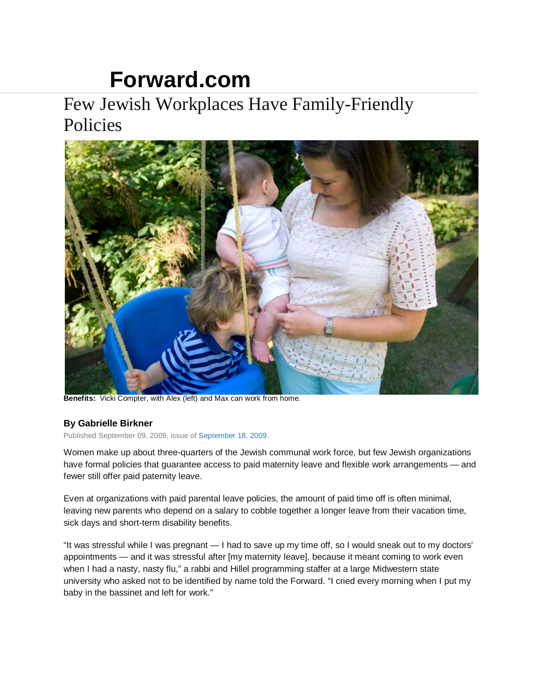## **[Forward.com](http://www.forward.com/)**

## Few Jewish Workplaces Have Family-Friendly Policies



**Benefits:** Vicki Compter, with Alex (left) and Max can work from home.

## **By Gabrielle Birkner**

Published September 09, 2009, issue of [September 18, 2009.](http://www.forward.com/issues/2009-09-18/)

Women make up about three-quarters of the Jewish communal work force, but few Jewish organizations have formal policies that guarantee access to paid maternity leave and flexible work arrangements — and fewer still offer paid paternity leave.

Even at organizations with paid parental leave policies, the amount of paid time off is often minimal, leaving new parents who depend on a salary to cobble together a longer leave from their vacation time, sick days and short-term disability benefits.

"It was stressful while I was pregnant — I had to save up my time off, so I would sneak out to my doctors' appointments — and it was stressful after [my maternity leave], because it meant coming to work even when I had a nasty, nasty flu," a rabbi and Hillel programming staffer at a large Midwestern state university who asked not to be identified by name told the Forward. "I cried every morning when I put my baby in the bassinet and left for work."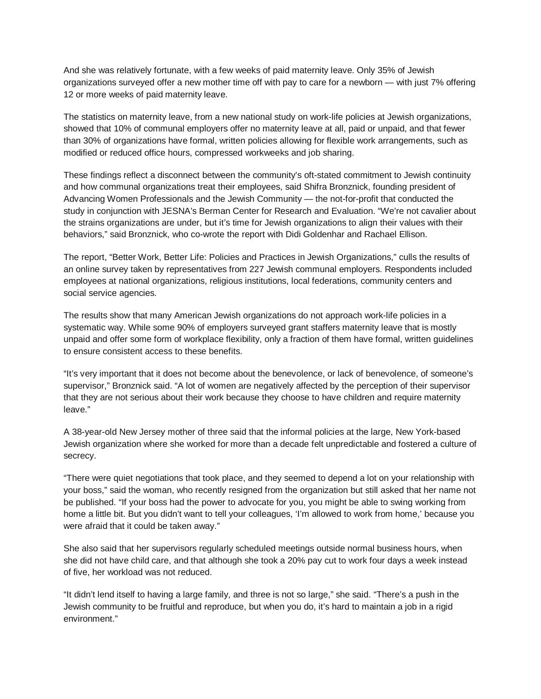And she was relatively fortunate, with a few weeks of paid maternity leave. Only 35% of Jewish organizations surveyed offer a new mother time off with pay to care for a newborn — with just 7% offering 12 or more weeks of paid maternity leave.

The statistics on maternity leave, from a new national study on work-life policies at Jewish organizations, showed that 10% of communal employers offer no maternity leave at all, paid or unpaid, and that fewer than 30% of organizations have formal, written policies allowing for flexible work arrangements, such as modified or reduced office hours, compressed workweeks and job sharing.

These findings reflect a disconnect between the community's oft-stated commitment to Jewish continuity and how communal organizations treat their employees, said Shifra Bronznick, founding president of Advancing Women Professionals and the Jewish Community — the not-for-profit that conducted the study in conjunction with JESNA's Berman Center for Research and Evaluation. "We're not cavalier about the strains organizations are under, but it's time for Jewish organizations to align their values with their behaviors," said Bronznick, who co-wrote the report with Didi Goldenhar and Rachael Ellison.

The report, "Better Work, Better Life: Policies and Practices in Jewish Organizations," culls the results of an online survey taken by representatives from 227 Jewish communal employers. Respondents included employees at national organizations, religious institutions, local federations, community centers and social service agencies.

The results show that many American Jewish organizations do not approach work-life policies in a systematic way. While some 90% of employers surveyed grant staffers maternity leave that is mostly unpaid and offer some form of workplace flexibility, only a fraction of them have formal, written guidelines to ensure consistent access to these benefits.

"It's very important that it does not become about the benevolence, or lack of benevolence, of someone's supervisor," Bronznick said. "A lot of women are negatively affected by the perception of their supervisor that they are not serious about their work because they choose to have children and require maternity leave."

A 38-year-old New Jersey mother of three said that the informal policies at the large, New York-based Jewish organization where she worked for more than a decade felt unpredictable and fostered a culture of secrecy.

"There were quiet negotiations that took place, and they seemed to depend a lot on your relationship with your boss," said the woman, who recently resigned from the organization but still asked that her name not be published. "If your boss had the power to advocate for you, you might be able to swing working from home a little bit. But you didn't want to tell your colleagues, 'I'm allowed to work from home,' because you were afraid that it could be taken away."

She also said that her supervisors regularly scheduled meetings outside normal business hours, when she did not have child care, and that although she took a 20% pay cut to work four days a week instead of five, her workload was not reduced.

"It didn't lend itself to having a large family, and three is not so large," she said. "There's a push in the Jewish community to be fruitful and reproduce, but when you do, it's hard to maintain a job in a rigid environment."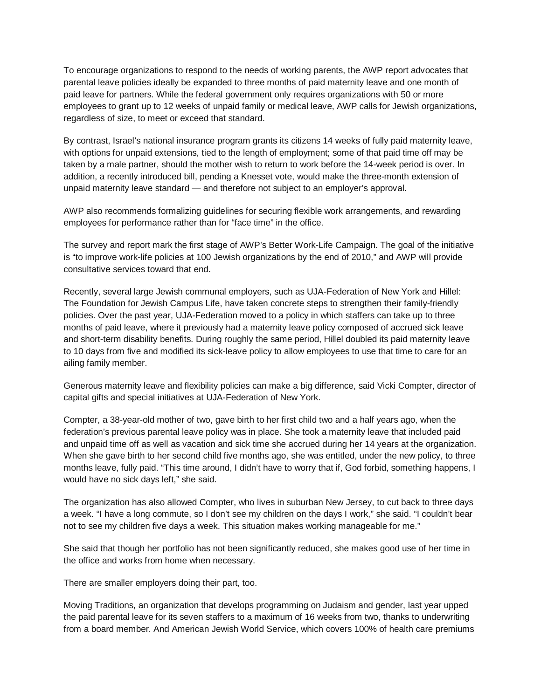To encourage organizations to respond to the needs of working parents, the AWP report advocates that parental leave policies ideally be expanded to three months of paid maternity leave and one month of paid leave for partners. While the federal government only requires organizations with 50 or more employees to grant up to 12 weeks of unpaid family or medical leave, AWP calls for Jewish organizations, regardless of size, to meet or exceed that standard.

By contrast, Israel's national insurance program grants its citizens 14 weeks of fully paid maternity leave, with options for unpaid extensions, tied to the length of employment; some of that paid time off may be taken by a male partner, should the mother wish to return to work before the 14-week period is over. In addition, a recently introduced bill, pending a Knesset vote, would make the three-month extension of unpaid maternity leave standard — and therefore not subject to an employer's approval.

AWP also recommends formalizing guidelines for securing flexible work arrangements, and rewarding employees for performance rather than for "face time" in the office.

The survey and report mark the first stage of AWP's Better Work-Life Campaign. The goal of the initiative is "to improve work-life policies at 100 Jewish organizations by the end of 2010," and AWP will provide consultative services toward that end.

Recently, several large Jewish communal employers, such as UJA-Federation of New York and Hillel: The Foundation for Jewish Campus Life, have taken concrete steps to strengthen their family-friendly policies. Over the past year, UJA-Federation moved to a policy in which staffers can take up to three months of paid leave, where it previously had a maternity leave policy composed of accrued sick leave and short-term disability benefits. During roughly the same period, Hillel doubled its paid maternity leave to 10 days from five and modified its sick-leave policy to allow employees to use that time to care for an ailing family member.

Generous maternity leave and flexibility policies can make a big difference, said Vicki Compter, director of capital gifts and special initiatives at UJA-Federation of New York.

Compter, a 38-year-old mother of two, gave birth to her first child two and a half years ago, when the federation's previous parental leave policy was in place. She took a maternity leave that included paid and unpaid time off as well as vacation and sick time she accrued during her 14 years at the organization. When she gave birth to her second child five months ago, she was entitled, under the new policy, to three months leave, fully paid. "This time around, I didn't have to worry that if, God forbid, something happens, I would have no sick days left," she said.

The organization has also allowed Compter, who lives in suburban New Jersey, to cut back to three days a week. "I have a long commute, so I don't see my children on the days I work," she said. "I couldn't bear not to see my children five days a week. This situation makes working manageable for me."

She said that though her portfolio has not been significantly reduced, she makes good use of her time in the office and works from home when necessary.

There are smaller employers doing their part, too.

Moving Traditions, an organization that develops programming on Judaism and gender, last year upped the paid parental leave for its seven staffers to a maximum of 16 weeks from two, thanks to underwriting from a board member. And American Jewish World Service, which covers 100% of health care premiums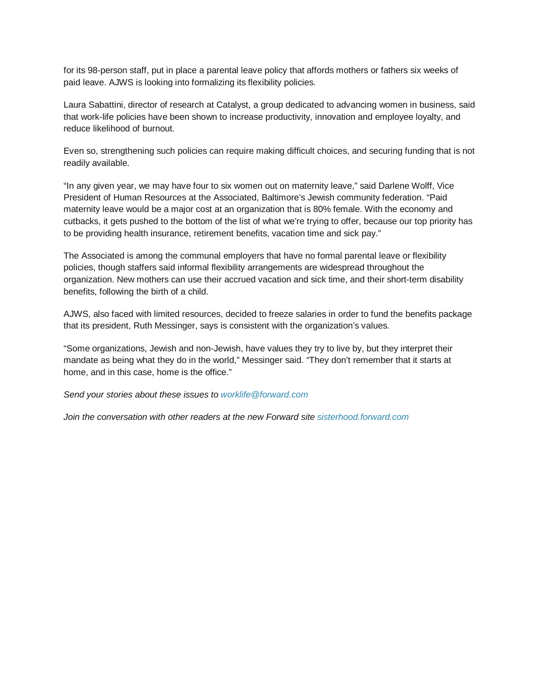for its 98-person staff, put in place a parental leave policy that affords mothers or fathers six weeks of paid leave. AJWS is looking into formalizing its flexibility policies.

Laura Sabattini, director of research at Catalyst, a group dedicated to advancing women in business, said that work-life policies have been shown to increase productivity, innovation and employee loyalty, and reduce likelihood of burnout.

Even so, strengthening such policies can require making difficult choices, and securing funding that is not readily available.

"In any given year, we may have four to six women out on maternity leave," said Darlene Wolff, Vice President of Human Resources at the Associated, Baltimore's Jewish community federation. "Paid maternity leave would be a major cost at an organization that is 80% female. With the economy and cutbacks, it gets pushed to the bottom of the list of what we're trying to offer, because our top priority has to be providing health insurance, retirement benefits, vacation time and sick pay."

The Associated is among the communal employers that have no formal parental leave or flexibility policies, though staffers said informal flexibility arrangements are widespread throughout the organization. New mothers can use their accrued vacation and sick time, and their short-term disability benefits, following the birth of a child.

AJWS, also faced with limited resources, decided to freeze salaries in order to fund the benefits package that its president, Ruth Messinger, says is consistent with the organization's values.

"Some organizations, Jewish and non-Jewish, have values they try to live by, but they interpret their mandate as being what they do in the world," Messinger said. "They don't remember that it starts at home, and in this case, home is the office."

*Send your stories about these issues to [worklife@forward.com](mailto:worklife@forward.com)*

*Join the conversation with other readers at the new Forward site [sisterhood.forward.com](http://sisterhood.forward.com/)*